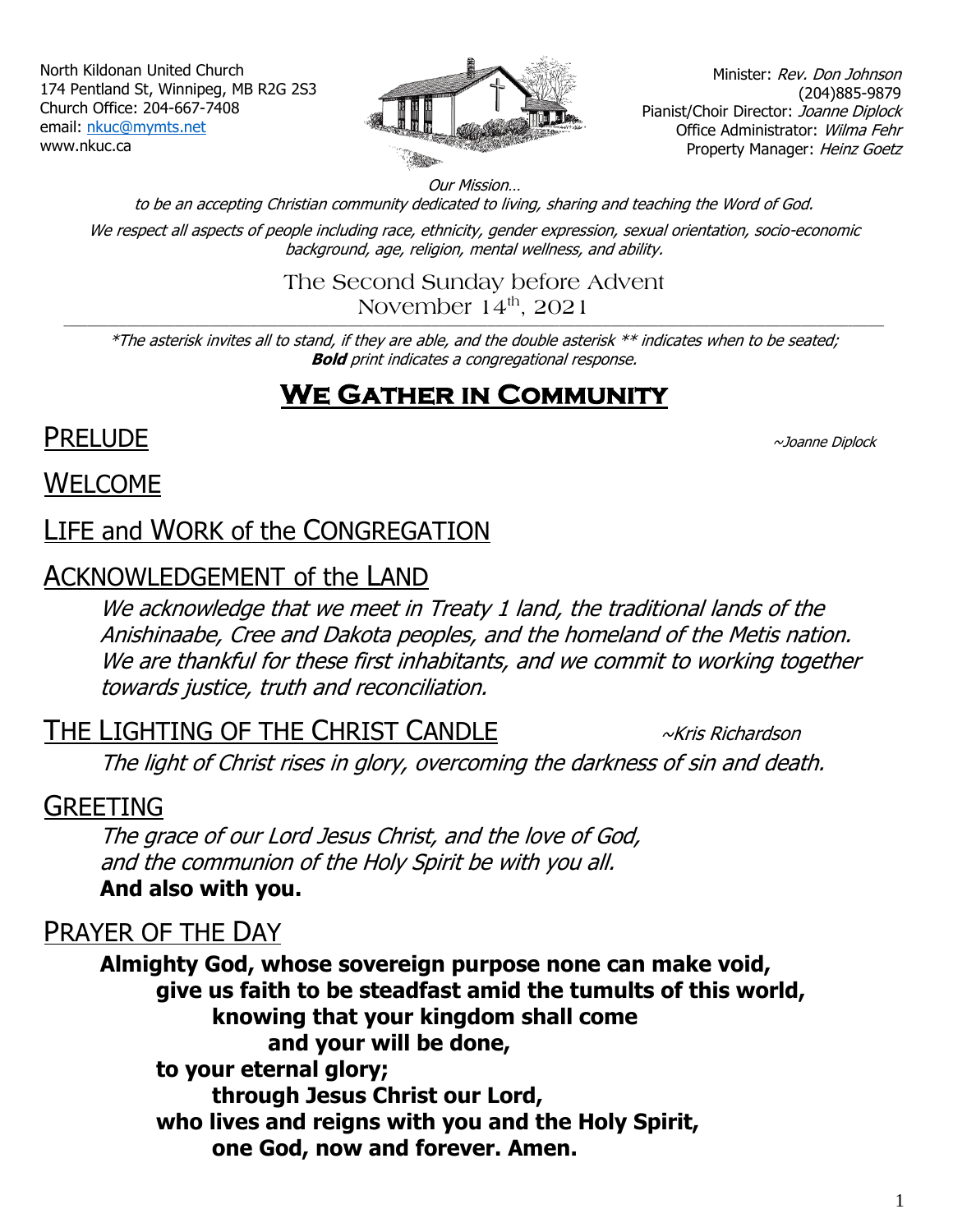North Kildonan United Church 174 Pentland St, Winnipeg, MB R2G 2S3 Church Office: 204-667-7408 email: [nkuc@mymts.net](mailto:nkuc@mymts.net) www.nkuc.ca



Minister: Rev. Don Johnson (204)885-9879 Pianist/Choir Director: Joanne Diplock Office Administrator: Wilma Fehr Property Manager: Heinz Goetz

#### Our Mission…

to be an accepting Christian community dedicated to living, sharing and teaching the Word of God.

We respect all aspects of people including race, ethnicity, gender expression, sexual orientation, socio-economic background, age, religion, mental wellness, and ability.

The Second Sunday before Advent November 14<sup>th</sup>, 2021 **\_\_\_\_\_\_\_\_\_\_\_\_\_\_\_\_\_\_\_\_\_\_\_\_\_\_\_\_\_\_\_\_\_\_\_\_\_\_\_\_\_\_\_\_\_\_\_\_\_\_\_\_\_\_\_\_\_\_\_\_\_\_\_\_\_\_\_\_\_\_\_\_\_\_\_\_\_\_\_\_\_\_\_\_\_\_\_\_\_\_\_\_\_\_\_\_\_\_\_\_\_\_\_\_\_\_\_\_\_\_\_\_\_\_\_\_\_\_\_\_\_\_\_\_\_\_\_\_\_\_\_\_\_\_\_\_\_\_\_\_\_\_\_\_\_\_\_\_\_\_\_\_\_\_\_\_\_\_\_\_\_\_\_\_\_\_\_\_\_\_\_\_\_\_\_\_\_\_\_\_\_\_\_\_\_\_\_\_\_\_\_\_\_\_\_\_\_\_\_\_\_\_\_\_\_\_\_**

\*The asterisk invites all to stand, if they are able, and the double asterisk \*\* indicates when to be seated; **Bold** print indicates a congregational response.

## **We Gather in Community**

## **PRELUDE**  $\sim$ Joanne Diplock

## WELCOME

## LIFE and WORK of the CONGREGATION

## ACKNOWLEDGEMENT of the LAND

We acknowledge that we meet in Treaty 1 land, the traditional lands of the Anishinaabe, Cree and Dakota peoples, and the homeland of the Metis nation. We are thankful for these first inhabitants, and we commit to working together towards justice, truth and reconciliation.

## THE LIGHTING OF THE CHRIST CANDLE  $\sim$ Kris Richardson

The light of Christ rises in glory, overcoming the darkness of sin and death.

#### GREETING

The grace of our Lord Jesus Christ, and the love of God, and the communion of the Holy Spirit be with you all. **And also with you.**

## PRAYER OF THE DAY

**Almighty God, whose sovereign purpose none can make void, give us faith to be steadfast amid the tumults of this world, knowing that your kingdom shall come and your will be done, to your eternal glory; through Jesus Christ our Lord, who lives and reigns with you and the Holy Spirit, one God, now and forever. Amen.**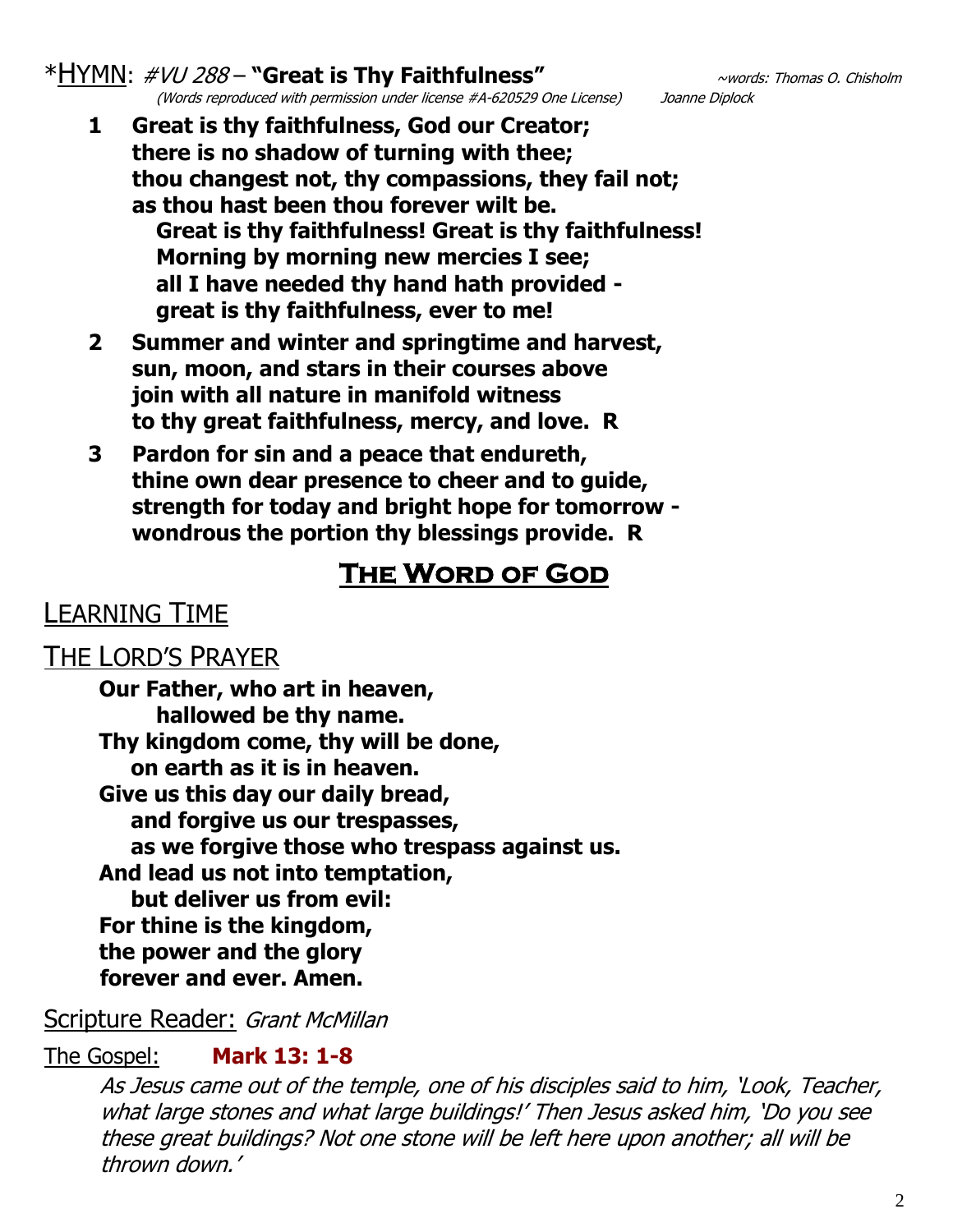#### \*HYMN: #VU <sup>288</sup> – **"Great is Thy Faithfulness"** ~words: Thomas O. Chisholm (Words reproduced with permission under license #A-620529 One License) Joanne Diplock

- **1 Great is thy faithfulness, God our Creator; there is no shadow of turning with thee; thou changest not, thy compassions, they fail not; as thou hast been thou forever wilt be. Great is thy faithfulness! Great is thy faithfulness! Morning by morning new mercies I see; all I have needed thy hand hath provided great is thy faithfulness, ever to me!**
- **2 Summer and winter and springtime and harvest, sun, moon, and stars in their courses above join with all nature in manifold witness to thy great faithfulness, mercy, and love. R**
- **3 Pardon for sin and a peace that endureth, thine own dear presence to cheer and to guide, strength for today and bright hope for tomorrow wondrous the portion thy blessings provide. R**

## **The Word of God**

#### LEARNING TIME

#### THE LORD'S PRAYER

**Our Father, who art in heaven, hallowed be thy name. Thy kingdom come, thy will be done, on earth as it is in heaven. Give us this day our daily bread, and forgive us our trespasses, as we forgive those who trespass against us. And lead us not into temptation, but deliver us from evil: For thine is the kingdom, the power and the glory forever and ever. Amen.**

#### Scripture Reader: Grant McMillan

#### The Gospel: **Mark 13: 1-8**

As Jesus came out of the temple, one of his disciples said to him, 'Look, Teacher, what large stones and what large buildings!' Then Jesus asked him, 'Do you see these great buildings? Not one stone will be left here upon another; all will be thrown down.'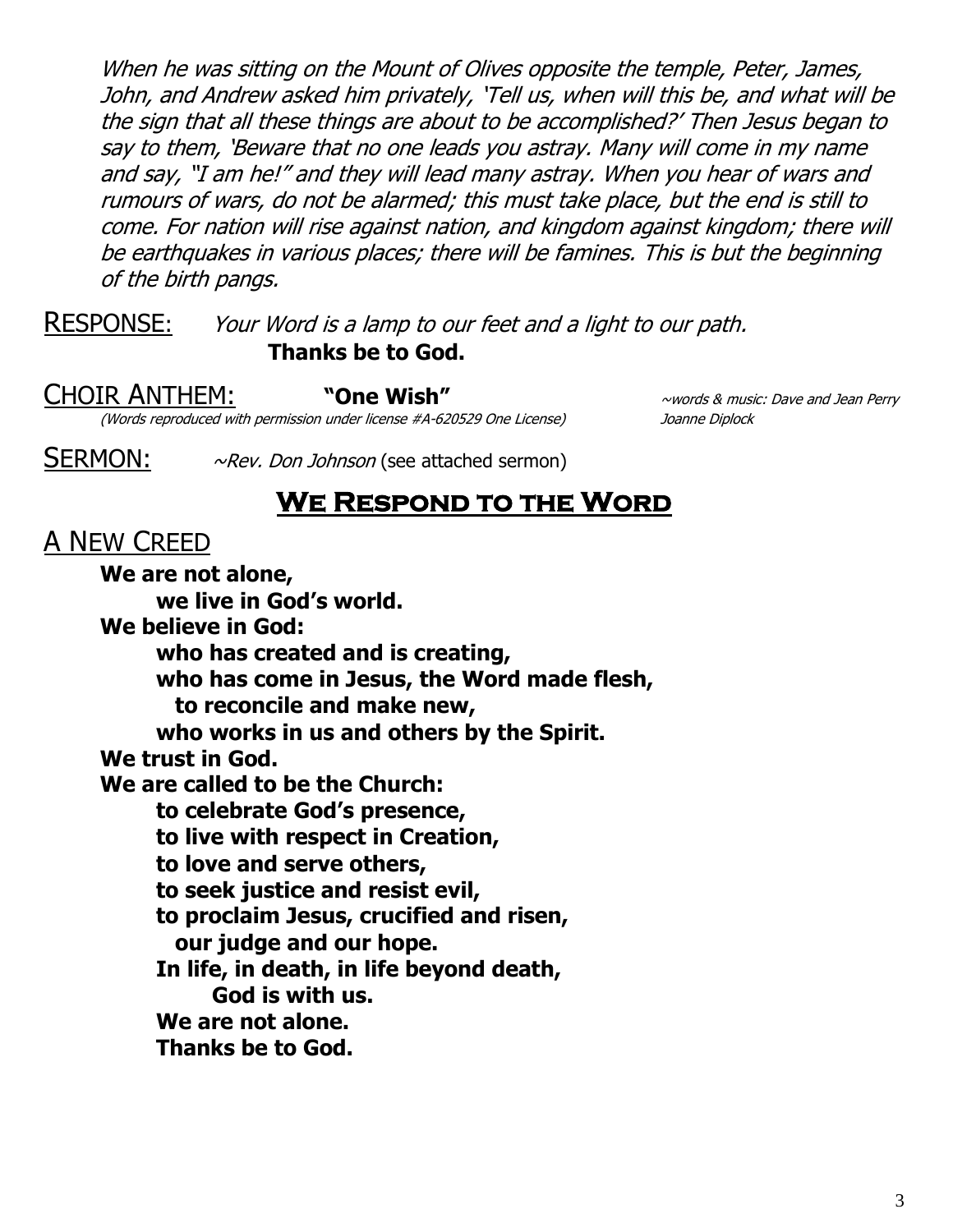When he was sitting on the Mount of Olives opposite the temple, Peter, James, John, and Andrew asked him privately, 'Tell us, when will this be, and what will be the sign that all these things are about to be accomplished?' Then Jesus began to say to them, 'Beware that no one leads you astray. Many will come in my name and say, "I am he!" and they will lead many astray. When you hear of wars and rumours of wars, do not be alarmed; this must take place, but the end is still to come. For nation will rise against nation, and kingdom against kingdom; there will be earthquakes in various places; there will be famines. This is but the beginning of the birth pangs.

RESPONSE: Your Word is a lamp to our feet and a light to our path. **Thanks be to God.** 

(Words reproduced with permission under license #A-620529 One License) Joanne Diplock

CHOIR ANTHEM: **"One Wish"** ~words & music: Dave and Jean Perry

 $SERMON: \sim$ Rev. Don Johnson (see attached sermon)

#### **We Respond to the Word**

#### A NEW CREED

**We are not alone, we live in God's world. We believe in God: who has created and is creating, who has come in Jesus, the Word made flesh, to reconcile and make new, who works in us and others by the Spirit. We trust in God. We are called to be the Church: to celebrate God's presence, to live with respect in Creation, to love and serve others, to seek justice and resist evil, to proclaim Jesus, crucified and risen, our judge and our hope. In life, in death, in life beyond death, God is with us. We are not alone. Thanks be to God.**